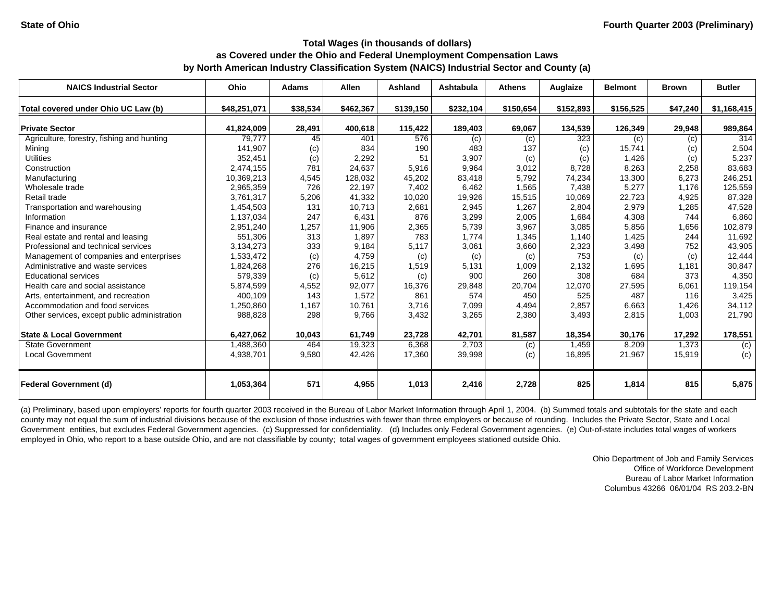| <b>NAICS Industrial Sector</b>               | Ohio         | <b>Adams</b> | <b>Allen</b> | <b>Ashland</b> | Ashtabula | <b>Athens</b> | Auglaize  | <b>Belmont</b> | <b>Brown</b> | <b>Butler</b>  |
|----------------------------------------------|--------------|--------------|--------------|----------------|-----------|---------------|-----------|----------------|--------------|----------------|
| Total covered under Ohio UC Law (b)          | \$48,251,071 | \$38,534     | \$462,367    | \$139,150      | \$232,104 | \$150,654     | \$152,893 | \$156,525      | \$47,240     | \$1,168,415    |
| <b>Private Sector</b>                        | 41,824,009   | 28,491       | 400,618      | 115,422        | 189,403   | 69,067        | 134,539   | 126,349        | 29,948       | 989,864        |
| Agriculture, forestry, fishing and hunting   | 79,777       | 45           | 401          | 576            | (c)       | (c)           | 323       | (c)            | (c)          | 314            |
| Mining                                       | 141,907      | (c)          | 834          | 190            | 483       | 137           | (c)       | 15,741         | (c)          | 2,504          |
| <b>Utilities</b>                             | 352,451      | (c)          | 2,292        | 51             | 3,907     | (c)           | (c)       | 1.426          | (c)          | 5,237          |
| Construction                                 | 2,474,155    | 781          | 24,637       | 5,916          | 9,964     | 3,012         | 8,728     | 8,263          | 2,258        | 83,683         |
| Manufacturing                                | 10,369,213   | 4,545        | 128,032      | 45,202         | 83,418    | 5,792         | 74,234    | 13,300         | 6,273        | 246,251        |
| Wholesale trade                              | 2,965,359    | 726          | 22,197       | 7,402          | 6,462     | 1,565         | 7,438     | 5,277          | 1,176        | 125,559        |
| Retail trade                                 | 3,761,317    | 5,206        | 41,332       | 10,020         | 19,926    | 15,515        | 10,069    | 22,723         | 4,925        | 87,328         |
| Transportation and warehousing               | 1,454,503    | 131          | 10,713       | 2,681          | 2,945     | 1,267         | 2,804     | 2,979          | 1,285        | 47,528         |
| Information                                  | 1,137,034    | 247          | 6,431        | 876            | 3,299     | 2,005         | 1,684     | 4,308          | 744          | 6,860          |
| Finance and insurance                        | 2,951,240    | 1,257        | 11,906       | 2,365          | 5,739     | 3,967         | 3,085     | 5,856          | 1,656        | 102,879        |
| Real estate and rental and leasing           | 551,306      | 313          | 1,897        | 783            | 1,774     | 1,345         | 1,140     | 1,425          | 244          | 11,692         |
| Professional and technical services          | 3,134,273    | 333          | 9,184        | 5,117          | 3,061     | 3,660         | 2,323     | 3,498          | 752          | 43,905         |
| Management of companies and enterprises      | 1,533,472    | (c)          | 4,759        | (c)            | (c)       | (c)           | 753       | (c)            | (c)          | 12,444         |
| Administrative and waste services            | 1,824,268    | 276          | 16,215       | 1,519          | 5,131     | 1,009         | 2,132     | 1,695          | 1,181        | 30,847         |
| Educational services                         | 579,339      | (c)          | 5,612        | (c)            | 900       | 260           | 308       | 684            | 373          | 4,350          |
| Health care and social assistance            | 5,874,599    | 4,552        | 92,077       | 16,376         | 29,848    | 20,704        | 12,070    | 27,595         | 6,061        | 119,154        |
| Arts, entertainment, and recreation          | 400,109      | 143          | 1,572        | 861            | 574       | 450           | 525       | 487            | 116          | 3,425          |
| Accommodation and food services              | 1,250,860    | 1,167        | 10,761       | 3,716          | 7,099     | 4,494         | 2,857     | 6,663          | 1,426        | 34,112         |
| Other services, except public administration | 988,828      | 298          | 9,766        | 3,432          | 3,265     | 2,380         | 3,493     | 2,815          | 1,003        | 21,790         |
| <b>State &amp; Local Government</b>          | 6,427,062    | 10,043       | 61,749       | 23,728         | 42,701    | 81,587        | 18,354    | 30,176         | 17,292       | 178,551        |
| <b>State Government</b>                      | 1,488,360    | 464          | 19,323       | 6.368          | 2.703     | (c)           | 1,459     | 8,209          | 1.373        | $\overline{c}$ |
| <b>Local Government</b>                      | 4,938,701    | 9,580        | 42,426       | 17,360         | 39,998    | (c)           | 16,895    | 21,967         | 15,919       | (c)            |
| <b>Federal Government (d)</b>                | 1,053,364    | 571          | 4,955        | 1,013          | 2,416     | 2,728         | 825       | 1,814          | 815          | 5,875          |

(a) Preliminary, based upon employers' reports for fourth quarter 2003 received in the Bureau of Labor Market Information through April 1, 2004. (b) Summed totals and subtotals for the state and each county may not equal the sum of industrial divisions because of the exclusion of those industries with fewer than three employers or because of rounding. Includes the Private Sector, State and Local Government entities, but excludes Federal Government agencies. (c) Suppressed for confidentiality. (d) Includes only Federal Government agencies. (e) Out-of-state includes total wages of workers employed in Ohio, who report to a base outside Ohio, and are not classifiable by county; total wages of government employees stationed outside Ohio.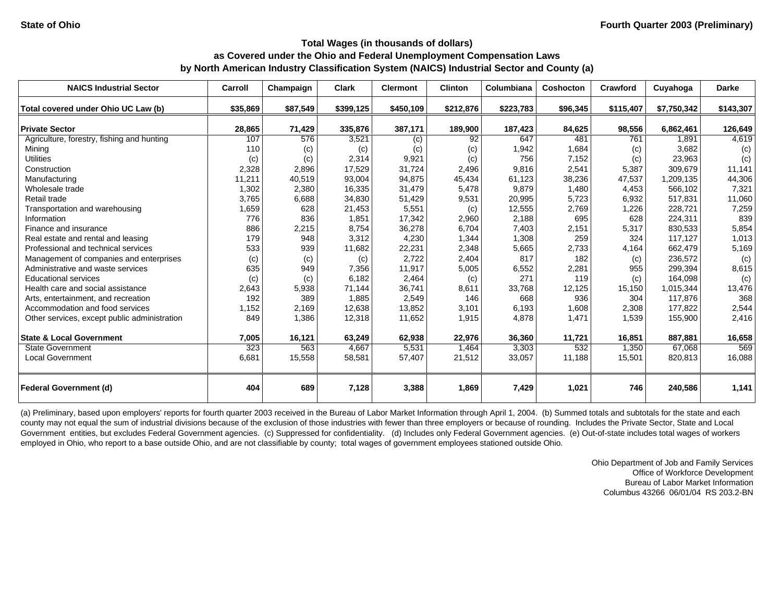| <b>NAICS Industrial Sector</b>               | Carroll  | Champaign | <b>Clark</b> | <b>Clermont</b> | <b>Clinton</b> | Columbiana | Coshocton | Crawford  | Cuyahoga    | <b>Darke</b> |
|----------------------------------------------|----------|-----------|--------------|-----------------|----------------|------------|-----------|-----------|-------------|--------------|
| Total covered under Ohio UC Law (b)          | \$35,869 | \$87,549  | \$399,125    | \$450,109       | \$212,876      | \$223,783  | \$96,345  | \$115,407 | \$7,750,342 | \$143,307    |
|                                              |          |           |              |                 |                |            |           |           |             |              |
| <b>Private Sector</b>                        | 28,865   | 71,429    | 335,876      | 387,171         | 189,900        | 187,423    | 84,625    | 98,556    | 6,862,461   | 126,649      |
| Agriculture, forestry, fishing and hunting   | 107      | 576       | 3,521        | (c)             | 92             | 647        | 481       | 761       | 1,891       | 4,619        |
| Mining                                       | 110      | (c)       | (c)          | (c)             | (c)            | 1,942      | 1,684     | (c)       | 3,682       | (c)          |
| <b>Utilities</b>                             | (c)      | (c)       | 2,314        | 9,921           | (c)            | 756        | 7,152     | (c)       | 23,963      | (c)          |
| Construction                                 | 2,328    | 2,896     | 17,529       | 31,724          | 2,496          | 9,816      | 2,541     | 5,387     | 309.679     | 11,141       |
| Manufacturing                                | 11,211   | 40,519    | 93,004       | 94,875          | 45,434         | 61,123     | 38,236    | 47,537    | 1,209,135   | 44,306       |
| Wholesale trade                              | 1,302    | 2,380     | 16,335       | 31,479          | 5,478          | 9,879      | 1,480     | 4,453     | 566,102     | 7,321        |
| Retail trade                                 | 3,765    | 6,688     | 34,830       | 51,429          | 9,531          | 20,995     | 5,723     | 6,932     | 517,831     | 11,060       |
| Transportation and warehousing               | 1,659    | 628       | 21,453       | 5,551           | (c)            | 12,555     | 2,769     | 1,226     | 228,721     | 7,259        |
| Information                                  | 776      | 836       | 1,851        | 17,342          | 2,960          | 2,188      | 695       | 628       | 224.311     | 839          |
| Finance and insurance                        | 886      | 2,215     | 8,754        | 36,278          | 6,704          | 7,403      | 2,151     | 5,317     | 830.533     | 5,854        |
| Real estate and rental and leasing           | 179      | 948       | 3,312        | 4,230           | 1,344          | 1,308      | 259       | 324       | 117.127     | 1,013        |
| Professional and technical services          | 533      | 939       | 11,682       | 22,231          | 2,348          | 5,665      | 2,733     | 4,164     | 662.479     | 5,169        |
| Management of companies and enterprises      | (c)      | (c)       | (c)          | 2,722           | 2,404          | 817        | 182       | (c)       | 236,572     | (c)          |
| Administrative and waste services            | 635      | 949       | 7,356        | 11,917          | 5,005          | 6,552      | 2,281     | 955       | 299,394     | 8,615        |
| <b>Educational services</b>                  | (c)      | (c)       | 6,182        | 2,464           | (c)            | 271        | 119       | (c)       | 164,098     | (c)          |
| Health care and social assistance            | 2,643    | 5,938     | 71,144       | 36,741          | 8,611          | 33,768     | 12,125    | 15,150    | 1,015,344   | 13,476       |
| Arts, entertainment, and recreation          | 192      | 389       | 1,885        | 2,549           | 146            | 668        | 936       | 304       | 117.876     | 368          |
| Accommodation and food services              | 1,152    | 2,169     | 12,638       | 13,852          | 3,101          | 6,193      | 1,608     | 2,308     | 177,822     | 2,544        |
| Other services, except public administration | 849      | 1,386     | 12,318       | 11,652          | 1,915          | 4,878      | 1,471     | 1,539     | 155,900     | 2,416        |
| <b>State &amp; Local Government</b>          | 7,005    | 16,121    | 63,249       | 62,938          | 22,976         | 36,360     | 11,721    | 16,851    | 887,881     | 16,658       |
| <b>State Government</b>                      | 323      | 563       | 4,667        | 5,531           | 1,464          | 3,303      | 532       | 1,350     | 67,068      | 569          |
| <b>Local Government</b>                      | 6,681    | 15,558    | 58,581       | 57,407          | 21,512         | 33,057     | 11,188    | 15,501    | 820,813     | 16,088       |
| <b>Federal Government (d)</b>                | 404      | 689       | 7,128        | 3,388           | 1,869          | 7,429      | 1,021     | 746       | 240,586     | 1,141        |

(a) Preliminary, based upon employers' reports for fourth quarter 2003 received in the Bureau of Labor Market Information through April 1, 2004. (b) Summed totals and subtotals for the state and each county may not equal the sum of industrial divisions because of the exclusion of those industries with fewer than three employers or because of rounding. Includes the Private Sector, State and Local Government entities, but excludes Federal Government agencies. (c) Suppressed for confidentiality. (d) Includes only Federal Government agencies. (e) Out-of-state includes total wages of workers employed in Ohio, who report to a base outside Ohio, and are not classifiable by county; total wages of government employees stationed outside Ohio.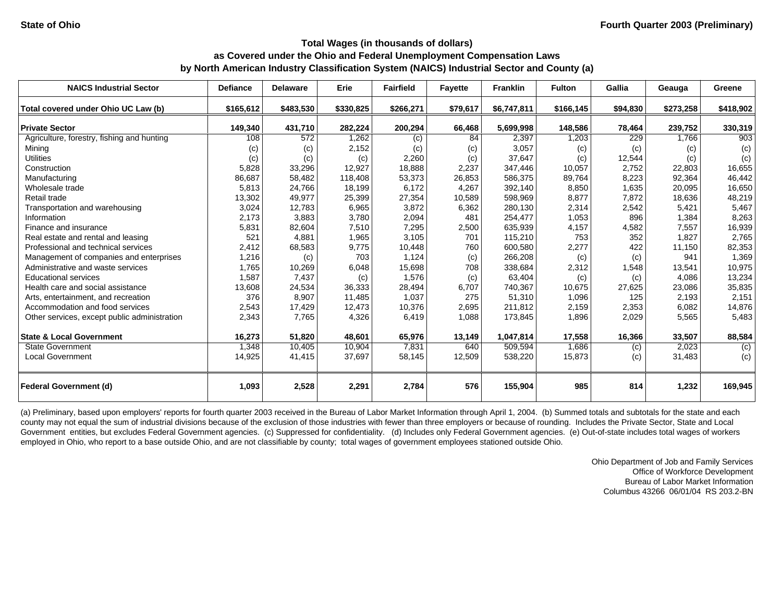| <b>NAICS Industrial Sector</b>               | <b>Defiance</b> | <b>Delaware</b> | Erie      | <b>Fairfield</b> | <b>Fayette</b> | <b>Franklin</b> | <b>Fulton</b> | Gallia   | Geauga    | Greene    |
|----------------------------------------------|-----------------|-----------------|-----------|------------------|----------------|-----------------|---------------|----------|-----------|-----------|
| Total covered under Ohio UC Law (b)          | \$165,612       | \$483,530       | \$330,825 | \$266,271        | \$79,617       | \$6,747,811     | \$166,145     | \$94,830 | \$273,258 | \$418,902 |
| <b>Private Sector</b>                        | 149,340         | 431,710         | 282,224   | 200,294          | 66,468         | 5,699,998       | 148,586       | 78,464   | 239,752   | 330,319   |
| Agriculture, forestry, fishing and hunting   | 108             | 572             | 1,262     | (c)              | 84             | 2,397           | 1,203         | 229      | 1,766     | 903       |
| Mining                                       | (c)             | (c)             | 2,152     | (c)              | (c)            | 3,057           | (c)           | (c)      | (c)       | (c)       |
| <b>Utilities</b>                             | (c)             | (c)             | (c)       | 2,260            | (c)            | 37,647          | (c)           | 12,544   | (c)       | (c)       |
| Construction                                 | 5,828           | 33,296          | 12,927    | 18,888           | 2,237          | 347,446         | 10,057        | 2,752    | 22,803    | 16,655    |
| Manufacturing                                | 86,687          | 58,482          | 118,408   | 53,373           | 26,853         | 586,375         | 89,764        | 8,223    | 92,364    | 46,442    |
| Wholesale trade                              | 5,813           | 24,766          | 18,199    | 6,172            | 4,267          | 392,140         | 8,850         | 1,635    | 20,095    | 16,650    |
| Retail trade                                 | 13,302          | 49,977          | 25,399    | 27,354           | 10,589         | 598,969         | 8,877         | 7,872    | 18,636    | 48,219    |
| Transportation and warehousing               | 3,024           | 12,783          | 6,965     | 3,872            | 6,362          | 280,130         | 2,314         | 2,542    | 5,421     | 5,467     |
| Information                                  | 2,173           | 3,883           | 3,780     | 2,094            | 481            | 254,477         | 1,053         | 896      | 1,384     | 8,263     |
| Finance and insurance                        | 5,831           | 82,604          | 7,510     | 7,295            | 2,500          | 635,939         | 4,157         | 4,582    | 7,557     | 16,939    |
| Real estate and rental and leasing           | 521             | 4,881           | 1,965     | 3,105            | 701            | 115,210         | 753           | 352      | 1.827     | 2,765     |
| Professional and technical services          | 2,412           | 68,583          | 9,775     | 10,448           | 760            | 600,580         | 2,277         | 422      | 11,150    | 82,353    |
| Management of companies and enterprises      | 1,216           | (c)             | 703       | 1,124            | (c)            | 266,208         | (c)           | (c)      | 941       | 1,369     |
| Administrative and waste services            | 1,765           | 10,269          | 6,048     | 15,698           | 708            | 338,684         | 2,312         | 1,548    | 13,541    | 10,975    |
| <b>Educational services</b>                  | 1,587           | 7,437           | (c)       | 1,576            | (c)            | 63,404          | (c)           | (c)      | 4,086     | 13,234    |
| Health care and social assistance            | 13,608          | 24,534          | 36,333    | 28,494           | 6,707          | 740,367         | 10,675        | 27,625   | 23,086    | 35,835    |
| Arts, entertainment, and recreation          | 376             | 8,907           | 11,485    | 1,037            | 275            | 51,310          | 1.096         | 125      | 2.193     | 2,151     |
| Accommodation and food services              | 2,543           | 17,429          | 12,473    | 10,376           | 2,695          | 211,812         | 2,159         | 2,353    | 6,082     | 14,876    |
| Other services, except public administration | 2,343           | 7,765           | 4,326     | 6,419            | 1,088          | 173,845         | 1,896         | 2,029    | 5,565     | 5,483     |
|                                              |                 |                 |           |                  |                |                 |               |          |           |           |
| <b>State &amp; Local Government</b>          | 16,273          | 51,820          | 48,601    | 65,976           | 13,149         | 1,047,814       | 17,558        | 16,366   | 33,507    | 88,584    |
| <b>State Government</b>                      | 1,348           | 10,405          | 10,904    | 7,831            | 640            | 509,594         | 1,686         | (c)      | 2,023     | (c)       |
| <b>Local Government</b>                      | 14,925          | 41,415          | 37,697    | 58,145           | 12,509         | 538,220         | 15,873        | (c)      | 31,483    | (c)       |
| <b>Federal Government (d)</b>                | 1,093           | 2,528           | 2,291     | 2,784            | 576            | 155,904         | 985           | 814      | 1,232     | 169,945   |

(a) Preliminary, based upon employers' reports for fourth quarter 2003 received in the Bureau of Labor Market Information through April 1, 2004. (b) Summed totals and subtotals for the state and each county may not equal the sum of industrial divisions because of the exclusion of those industries with fewer than three employers or because of rounding. Includes the Private Sector, State and Local Government entities, but excludes Federal Government agencies. (c) Suppressed for confidentiality. (d) Includes only Federal Government agencies. (e) Out-of-state includes total wages of workers employed in Ohio, who report to a base outside Ohio, and are not classifiable by county; total wages of government employees stationed outside Ohio.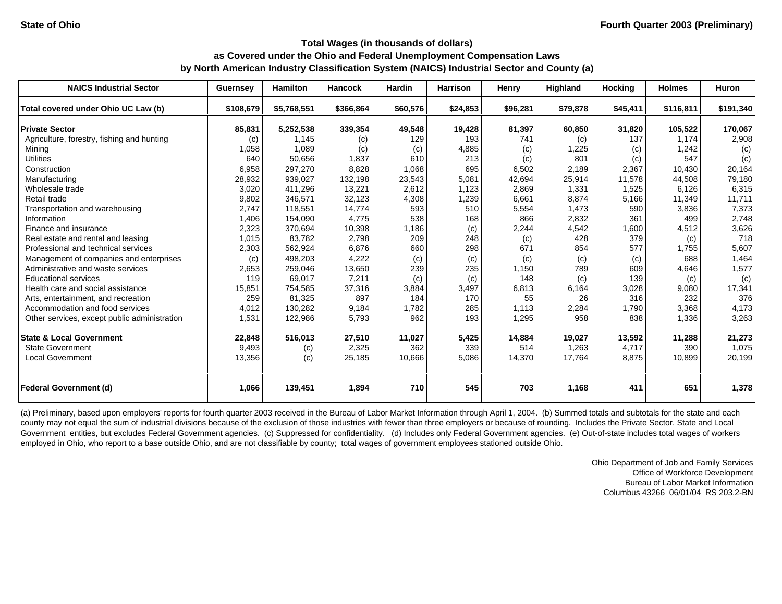| <b>NAICS Industrial Sector</b>               | Guernsey  | <b>Hamilton</b> | <b>Hancock</b> | <b>Hardin</b> | <b>Harrison</b> | Henry    | <b>Highland</b> | <b>Hocking</b> | <b>Holmes</b> | <b>Huron</b> |
|----------------------------------------------|-----------|-----------------|----------------|---------------|-----------------|----------|-----------------|----------------|---------------|--------------|
| Total covered under Ohio UC Law (b)          | \$108,679 | \$5,768,551     | \$366,864      | \$60,576      | \$24,853        | \$96,281 | \$79,878        | \$45,411       | \$116,811     | \$191,340    |
| <b>Private Sector</b>                        | 85,831    | 5,252,538       | 339,354        | 49,548        | 19,428          | 81,397   | 60,850          | 31,820         | 105,522       | 170,067      |
| Agriculture, forestry, fishing and hunting   | (c)       | 1.145           | (c)            | 129           | 193             | 741      | (c)             | 137            | 1.174         | 2,908        |
| Mining                                       | 1,058     | 1,089           | (c)            | (c)           | 4,885           | (c)      | 1,225           | (c)            | 1.242         | (c)          |
| <b>Utilities</b>                             | 640       | 50,656          | 1,837          | 610           | 213             | (c)      | 801             | (c)            | 547           | (c)          |
| Construction                                 | 6,958     | 297.270         | 8,828          | 1,068         | 695             | 6,502    | 2,189           | 2,367          | 10.430        | 20,164       |
| Manufacturing                                | 28,932    | 939,027         | 132,198        | 23,543        | 5,081           | 42,694   | 25,914          | 11,578         | 44,508        | 79,180       |
| Wholesale trade                              | 3,020     | 411,296         | 13,221         | 2,612         | 1,123           | 2,869    | 1,331           | 1,525          | 6,126         | 6,315        |
| Retail trade                                 | 9,802     | 346,571         | 32,123         | 4,308         | 1,239           | 6,661    | 8,874           | 5,166          | 11,349        | 11,711       |
| Transportation and warehousing               | 2,747     | 118,551         | 14,774         | 593           | 510             | 5,554    | 1,473           | 590            | 3,836         | 7,373        |
| Information                                  | 1,406     | 154,090         | 4,775          | 538           | 168             | 866      | 2,832           | 361            | 499           | 2,748        |
| Finance and insurance                        | 2,323     | 370,694         | 10,398         | 1,186         | (c)             | 2,244    | 4,542           | 1,600          | 4,512         | 3,626        |
| Real estate and rental and leasing           | 1,015     | 83,782          | 2,798          | 209           | 248             | (c)      | 428             | 379            | (c)           | 718          |
| Professional and technical services          | 2,303     | 562,924         | 6,876          | 660           | 298             | 671      | 854             | 577            | 1,755         | 5,607        |
| Management of companies and enterprises      | (c)       | 498,203         | 4,222          | (c)           | (c)             | (c)      | (c)             | (c)            | 688           | 1,464        |
| Administrative and waste services            | 2,653     | 259,046         | 13,650         | 239           | 235             | 1,150    | 789             | 609            | 4,646         | 1,577        |
| <b>Educational services</b>                  | 119       | 69,017          | 7,211          | (c)           | (c)             | 148      | (c)             | 139            | (c)           | (c)          |
| Health care and social assistance            | 15,851    | 754,585         | 37,316         | 3,884         | 3,497           | 6,813    | 6,164           | 3,028          | 9,080         | 17,341       |
| Arts, entertainment, and recreation          | 259       | 81,325          | 897            | 184           | 170             | 55       | 26              | 316            | 232           | 376          |
| Accommodation and food services              | 4,012     | 130,282         | 9,184          | 1,782         | 285             | 1,113    | 2,284           | 1,790          | 3,368         | 4,173        |
| Other services, except public administration | 1,531     | 122,986         | 5,793          | 962           | 193             | 1,295    | 958             | 838            | 1,336         | 3,263        |
| <b>State &amp; Local Government</b>          | 22,848    | 516,013         | 27,510         | 11,027        | 5,425           | 14,884   | 19,027          | 13,592         | 11,288        | 21,273       |
| <b>State Government</b>                      | 9,493     | (c)             | 2,325          | 362           | 339             | 514      | 1.263           | 4.717          | 390           | 1,075        |
| <b>Local Government</b>                      | 13,356    | (c)             | 25,185         | 10,666        | 5,086           | 14,370   | 17,764          | 8,875          | 10,899        | 20,199       |
| <b>Federal Government (d)</b>                | 1,066     | 139,451         | 1,894          | 710           | 545             | 703      | 1,168           | 411            | 651           | 1,378        |

(a) Preliminary, based upon employers' reports for fourth quarter 2003 received in the Bureau of Labor Market Information through April 1, 2004. (b) Summed totals and subtotals for the state and each county may not equal the sum of industrial divisions because of the exclusion of those industries with fewer than three employers or because of rounding. Includes the Private Sector, State and Local Government entities, but excludes Federal Government agencies. (c) Suppressed for confidentiality. (d) Includes only Federal Government agencies. (e) Out-of-state includes total wages of workers employed in Ohio, who report to a base outside Ohio, and are not classifiable by county; total wages of government employees stationed outside Ohio.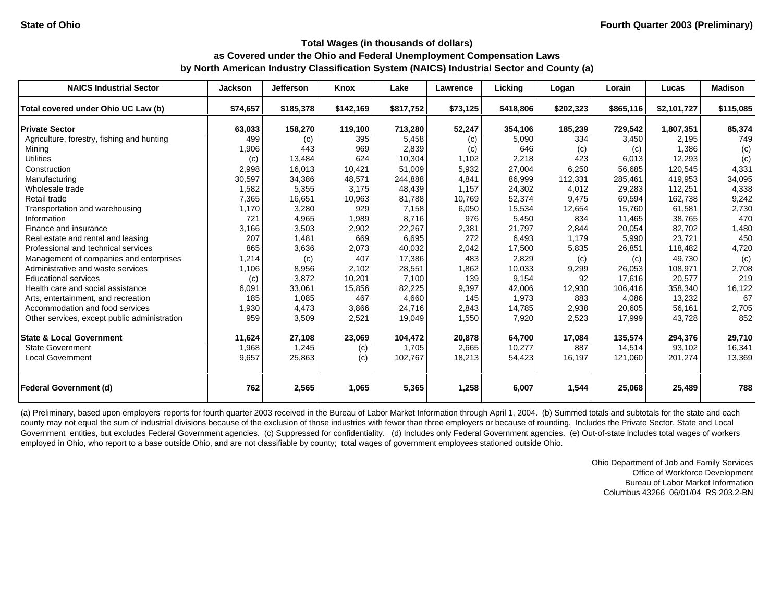| <b>NAICS Industrial Sector</b>               | <b>Jackson</b> | <b>Jefferson</b> | Knox      | Lake      | Lawrence   | Lickina   | Logan     | Lorain    | Lucas       | <b>Madison</b> |
|----------------------------------------------|----------------|------------------|-----------|-----------|------------|-----------|-----------|-----------|-------------|----------------|
| Total covered under Ohio UC Law (b)          | \$74,657       | \$185,378        | \$142,169 | \$817,752 | \$73,125   | \$418,806 | \$202,323 | \$865,116 | \$2,101,727 | \$115,085      |
| <b>Private Sector</b>                        | 63,033         | 158,270          | 119,100   | 713,280   | 52,247     | 354,106   | 185,239   | 729,542   | 1,807,351   | 85,374         |
| Agriculture, forestry, fishing and hunting   | 499            | (c)              | 395       | 5,458     |            | 5,090     | 334       | 3,450     | 2,195       | 749            |
| Mining                                       | 1,906          | 443              | 969       | 2,839     | (c)<br>(c) | 646       | (c)       | (c)       | 1,386       | (c)            |
| <b>Utilities</b>                             | (c)            | 13,484           | 624       | 10,304    | 1.102      | 2,218     | 423       | 6,013     | 12,293      | (c)            |
| Construction                                 | 2,998          | 16,013           | 10,421    | 51,009    | 5,932      | 27,004    | 6,250     | 56,685    | 120.545     | 4,331          |
| Manufacturing                                | 30,597         | 34,386           | 48,571    | 244,888   | 4,841      | 86,999    | 112,331   | 285,461   | 419.953     | 34,095         |
| Wholesale trade                              | 1,582          | 5,355            | 3,175     | 48,439    | 1,157      | 24,302    | 4,012     | 29,283    | 112,251     | 4,338          |
| Retail trade                                 | 7,365          | 16,651           | 10,963    | 81,788    | 10,769     | 52,374    | 9,475     | 69,594    | 162,738     | 9,242          |
| Transportation and warehousing               | 1,170          | 3,280            | 929       | 7,158     | 6,050      | 15,534    | 12,654    | 15,760    | 61,581      | 2,730          |
| Information                                  | 721            | 4,965            | 1,989     | 8,716     | 976        | 5,450     | 834       | 11,465    | 38,765      | 470            |
| Finance and insurance                        | 3,166          | 3,503            | 2,902     | 22,267    | 2,381      | 21,797    | 2,844     | 20,054    | 82,702      | 1,480          |
| Real estate and rental and leasing           | 207            | 1,481            | 669       | 6,695     | 272        | 6,493     | 1,179     | 5,990     | 23,721      | 450            |
| Professional and technical services          | 865            | 3,636            | 2,073     | 40,032    | 2,042      | 17,500    | 5,835     | 26,851    | 118,482     | 4,720          |
| Management of companies and enterprises      | 1,214          | (c)              | 407       | 17,386    | 483        | 2,829     | (c)       | (c)       | 49,730      | (c)            |
| Administrative and waste services            | 1,106          | 8,956            | 2,102     | 28,551    | 1,862      | 10,033    | 9,299     | 26,053    | 108,971     | 2,708          |
| <b>Educational services</b>                  | (c)            | 3,872            | 10,201    | 7,100     | 139        | 9,154     | 92        | 17.616    | 20,577      | 219            |
| Health care and social assistance            | 6,091          | 33,061           | 15,856    | 82,225    | 9,397      | 42,006    | 12,930    | 106,416   | 358.340     | 16,122         |
| Arts, entertainment, and recreation          | 185            | 1,085            | 467       | 4,660     | 145        | 1,973     | 883       | 4,086     | 13,232      | 67             |
| Accommodation and food services              | 1,930          | 4,473            | 3,866     | 24,716    | 2,843      | 14,785    | 2,938     | 20,605    | 56,161      | 2,705          |
| Other services, except public administration | 959            | 3,509            | 2,521     | 19,049    | 1,550      | 7,920     | 2,523     | 17,999    | 43,728      | 852            |
|                                              |                |                  |           |           |            |           |           |           |             |                |
| <b>State &amp; Local Government</b>          | 11,624         | 27,108           | 23,069    | 104,472   | 20,878     | 64,700    | 17,084    | 135,574   | 294,376     | 29,710         |
| <b>State Government</b>                      | 1,968          | 1,245            | (c)       | 1,705     | 2,665      | 10,277    | 887       | 14,514    | 93,102      | 16,341         |
| <b>Local Government</b>                      | 9,657          | 25,863           | (c)       | 102,767   | 18,213     | 54,423    | 16,197    | 121,060   | 201,274     | 13,369         |
| <b>Federal Government (d)</b>                | 762            | 2,565            | 1,065     | 5,365     | 1,258      | 6,007     | 1,544     | 25,068    | 25,489      | 788            |

(a) Preliminary, based upon employers' reports for fourth quarter 2003 received in the Bureau of Labor Market Information through April 1, 2004. (b) Summed totals and subtotals for the state and each county may not equal the sum of industrial divisions because of the exclusion of those industries with fewer than three employers or because of rounding. Includes the Private Sector, State and Local Government entities, but excludes Federal Government agencies. (c) Suppressed for confidentiality. (d) Includes only Federal Government agencies. (e) Out-of-state includes total wages of workers employed in Ohio, who report to a base outside Ohio, and are not classifiable by county; total wages of government employees stationed outside Ohio.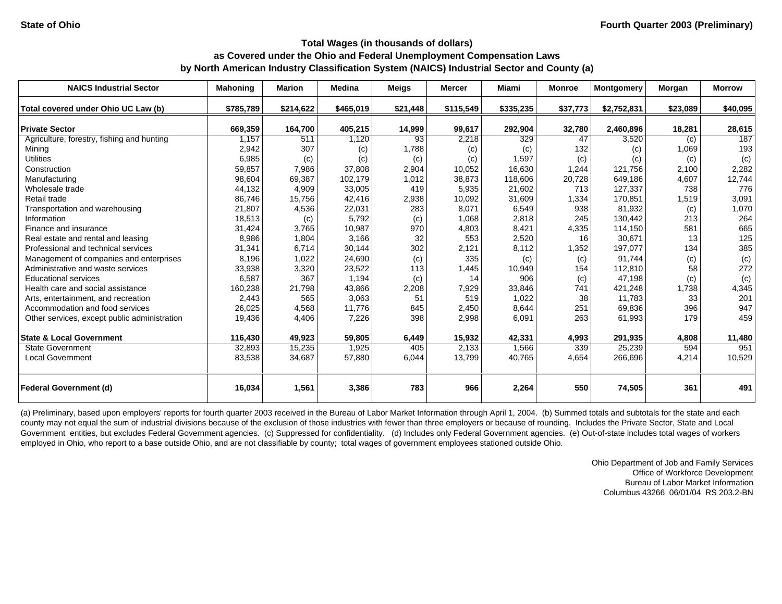| <b>NAICS Industrial Sector</b>               | <b>Mahoning</b> | <b>Marion</b> | <b>Medina</b> | <b>Meigs</b> | <b>Mercer</b> | Miami     | <b>Monroe</b> | Montgomery  | Morgan   | <b>Morrow</b> |
|----------------------------------------------|-----------------|---------------|---------------|--------------|---------------|-----------|---------------|-------------|----------|---------------|
| Total covered under Ohio UC Law (b)          | \$785,789       | \$214,622     | \$465,019     | \$21,448     | \$115,549     | \$335,235 | \$37,773      | \$2,752,831 | \$23,089 | \$40,095      |
| <b>Private Sector</b>                        | 669,359         | 164,700       | 405,215       | 14,999       | 99,617        | 292,904   | 32,780        | 2,460,896   | 18,281   | 28,615        |
| Agriculture, forestry, fishing and hunting   | 1,157           | 511           | 1,120         | 93           | 2,218         | 329       | 47            | 3,520       | (c)      | 187           |
| Mining                                       | 2,942           | 307           | (c)           | 1,788        | (c)           | (c)       | 132           | (c)         | 1,069    | 193           |
| <b>Utilities</b>                             | 6,985           | (c)           | (c)           | (c)          | (c)           | 1,597     | (c)           | (c)         | (c)      | (c)           |
| Construction                                 | 59,857          | 7,986         | 37,808        | 2,904        | 10,052        | 16,630    | 1,244         | 121,756     | 2,100    | 2,282         |
| Manufacturing                                | 98,604          | 69,387        | 102,179       | 1,012        | 38,873        | 118,606   | 20,728        | 649,186     | 4,607    | 12,744        |
| Wholesale trade                              | 44,132          | 4,909         | 33,005        | 419          | 5,935         | 21,602    | 713           | 127,337     | 738      | 776           |
| Retail trade                                 | 86,746          | 15,756        | 42,416        | 2,938        | 10,092        | 31,609    | 1,334         | 170,851     | 1,519    | 3,091         |
| Transportation and warehousing               | 21,807          | 4,536         | 22,031        | 283          | 8,071         | 6,549     | 938           | 81,932      | (c)      | 1,070         |
| Information                                  | 18,513          | (c)           | 5,792         | (c)          | 1,068         | 2,818     | 245           | 130.442     | 213      | 264           |
| Finance and insurance                        | 31,424          | 3,765         | 10,987        | 970          | 4,803         | 8,421     | 4,335         | 114,150     | 581      | 665           |
| Real estate and rental and leasing           | 8,986           | 1,804         | 3,166         | 32           | 553           | 2,520     | 16            | 30,671      | 13       | 125           |
| Professional and technical services          | 31,341          | 6,714         | 30,144        | 302          | 2,121         | 8,112     | 1,352         | 197,077     | 134      | 385           |
| Management of companies and enterprises      | 8,196           | 1,022         | 24,690        | (c)          | 335           | (c)       | (c)           | 91.744      | (c)      | (c)           |
| Administrative and waste services            | 33,938          | 3,320         | 23,522        | 113          | 1,445         | 10,949    | 154           | 112,810     | 58       | 272           |
| <b>Educational services</b>                  | 6,587           | 367           | 1,194         | (c)          | 14            | 906       | (c)           | 47.198      | (c)      | (c)           |
| Health care and social assistance            | 160,238         | 21,798        | 43,866        | 2,208        | 7,929         | 33,846    | 741           | 421,248     | 1,738    | 4,345         |
| Arts, entertainment, and recreation          | 2,443           | 565           | 3,063         | 51           | 519           | 1,022     | 38            | 11,783      | 33       | 201           |
| Accommodation and food services              | 26,025          | 4,568         | 11,776        | 845          | 2,450         | 8,644     | 251           | 69,836      | 396      | 947           |
| Other services, except public administration | 19,436          | 4,406         | 7,226         | 398          | 2,998         | 6,091     | 263           | 61,993      | 179      | 459           |
|                                              |                 |               |               |              |               |           |               |             |          |               |
| <b>State &amp; Local Government</b>          | 116,430         | 49,923        | 59,805        | 6,449        | 15,932        | 42,331    | 4,993         | 291,935     | 4,808    | 11,480        |
| <b>State Government</b>                      | 32,893          | 15,235        | 1,925         | 405          | 2,133         | 1,566     | 339           | 25,239      | 594      | 951           |
| <b>Local Government</b>                      | 83,538          | 34,687        | 57,880        | 6,044        | 13,799        | 40,765    | 4,654         | 266,696     | 4,214    | 10,529        |
| <b>Federal Government (d)</b>                | 16,034          | 1,561         | 3,386         | 783          | 966           | 2,264     | 550           | 74,505      | 361      | 491           |

(a) Preliminary, based upon employers' reports for fourth quarter 2003 received in the Bureau of Labor Market Information through April 1, 2004. (b) Summed totals and subtotals for the state and each county may not equal the sum of industrial divisions because of the exclusion of those industries with fewer than three employers or because of rounding. Includes the Private Sector, State and Local Government entities, but excludes Federal Government agencies. (c) Suppressed for confidentiality. (d) Includes only Federal Government agencies. (e) Out-of-state includes total wages of workers employed in Ohio, who report to a base outside Ohio, and are not classifiable by county; total wages of government employees stationed outside Ohio.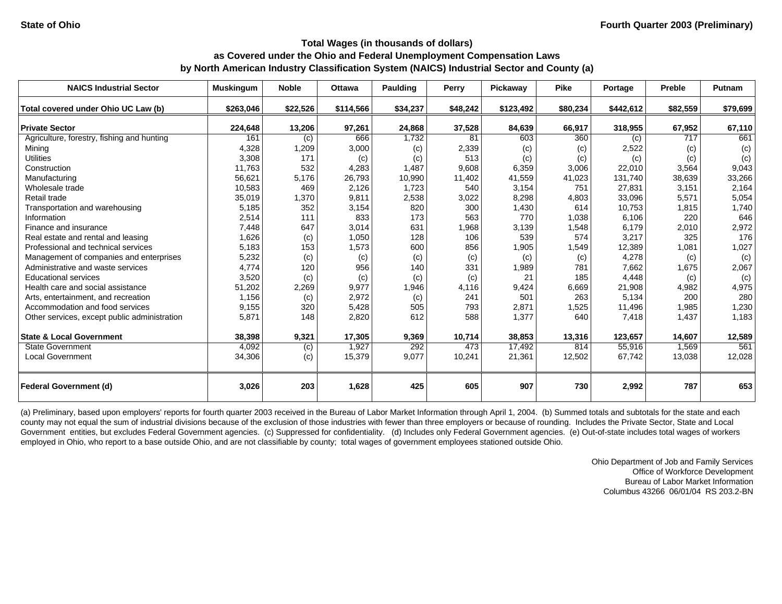| <b>NAICS Industrial Sector</b>               | <b>Muskingum</b> | <b>Noble</b> | <b>Ottawa</b> | <b>Paulding</b> | Perry    | Pickaway  | <b>Pike</b> | Portage   | Preble   | <b>Putnam</b> |
|----------------------------------------------|------------------|--------------|---------------|-----------------|----------|-----------|-------------|-----------|----------|---------------|
| Total covered under Ohio UC Law (b)          | \$263,046        | \$22,526     | \$114,566     | \$34,237        | \$48,242 | \$123,492 | \$80,234    | \$442,612 | \$82,559 | \$79,699      |
| <b>Private Sector</b>                        | 224,648          | 13,206       | 97,261        | 24,868          | 37,528   | 84,639    | 66,917      | 318,955   | 67,952   | 67,110        |
| Agriculture, forestry, fishing and hunting   | 161              | (c)          | 666           | 1,732           | 81       | 603       | 360         | (c)       | 717      | 661           |
| Mining                                       | 4,328            | 1,209        | 3,000         | (c)             | 2,339    | (c)       | (c)         | 2,522     | (c)      | (c)           |
| <b>Utilities</b>                             | 3,308            | 171          | (c)           | (c)             | 513      | (c)       | (c)         | (c)       | (c)      | (c)           |
| Construction                                 | 11,763           | 532          | 4,283         | 1,487           | 9,608    | 6,359     | 3.006       | 22,010    | 3,564    | 9,043         |
| Manufacturing                                | 56,621           | 5,176        | 26,793        | 10,990          | 11,402   | 41,559    | 41,023      | 131,740   | 38,639   | 33,266        |
| Wholesale trade                              | 10,583           | 469          | 2,126         | 1,723           | 540      | 3,154     | 751         | 27,831    | 3,151    | 2,164         |
| Retail trade                                 | 35,019           | 1,370        | 9,811         | 2,538           | 3,022    | 8,298     | 4,803       | 33,096    | 5,571    | 5,054         |
| Transportation and warehousing               | 5,185            | 352          | 3,154         | 820             | 300      | 1,430     | 614         | 10,753    | 1,815    | 1,740         |
| Information                                  | 2,514            | 111          | 833           | 173             | 563      | 770       | 1,038       | 6,106     | 220      | 646           |
| Finance and insurance                        | 7,448            | 647          | 3,014         | 631             | 1,968    | 3,139     | 1,548       | 6,179     | 2,010    | 2,972         |
| Real estate and rental and leasing           | 1,626            | (c)          | 1,050         | 128             | 106      | 539       | 574         | 3,217     | 325      | 176           |
| Professional and technical services          | 5,183            | 153          | 1,573         | 600             | 856      | 1,905     | 1,549       | 12,389    | 1,081    | 1,027         |
| Management of companies and enterprises      | 5,232            | (c)          | (c)           | (c)             | (c)      | (c)       | (c)         | 4,278     | (c)      | (c)           |
| Administrative and waste services            | 4,774            | 120          | 956           | 140             | 331      | 1,989     | 781         | 7,662     | 1,675    | 2,067         |
| Educational services                         | 3,520            | (c)          | (c)           | (c)             | (c)      | 21        | 185         | 4,448     | (c)      | (c)           |
| Health care and social assistance            | 51,202           | 2,269        | 9,977         | 1,946           | 4,116    | 9,424     | 6,669       | 21,908    | 4,982    | 4,975         |
| Arts, entertainment, and recreation          | 1,156            | (c)          | 2,972         | (c)             | 241      | 501       | 263         | 5,134     | 200      | 280           |
| Accommodation and food services              | 9,155            | 320          | 5,428         | 505             | 793      | 2,871     | 1,525       | 11,496    | 1,985    | 1,230         |
| Other services, except public administration | 5,871            | 148          | 2,820         | 612             | 588      | 1,377     | 640         | 7,418     | 1,437    | 1,183         |
| <b>State &amp; Local Government</b>          | 38,398           | 9,321        | 17,305        | 9,369           | 10,714   | 38,853    | 13,316      | 123,657   | 14,607   | 12,589        |
| <b>State Government</b>                      | 4,092            | (c)          | 1.927         | 292             | 473      | 17.492    | 814         | 55.916    | 1.569    | 561           |
| <b>Local Government</b>                      | 34,306           | (c)          | 15,379        | 9,077           | 10,241   | 21,361    | 12,502      | 67,742    | 13,038   | 12,028        |
| <b>Federal Government (d)</b>                | 3,026            | 203          | 1,628         | 425             | 605      | 907       | 730         | 2,992     | 787      | 653           |

(a) Preliminary, based upon employers' reports for fourth quarter 2003 received in the Bureau of Labor Market Information through April 1, 2004. (b) Summed totals and subtotals for the state and each county may not equal the sum of industrial divisions because of the exclusion of those industries with fewer than three employers or because of rounding. Includes the Private Sector, State and Local Government entities, but excludes Federal Government agencies. (c) Suppressed for confidentiality. (d) Includes only Federal Government agencies. (e) Out-of-state includes total wages of workers employed in Ohio, who report to a base outside Ohio, and are not classifiable by county; total wages of government employees stationed outside Ohio.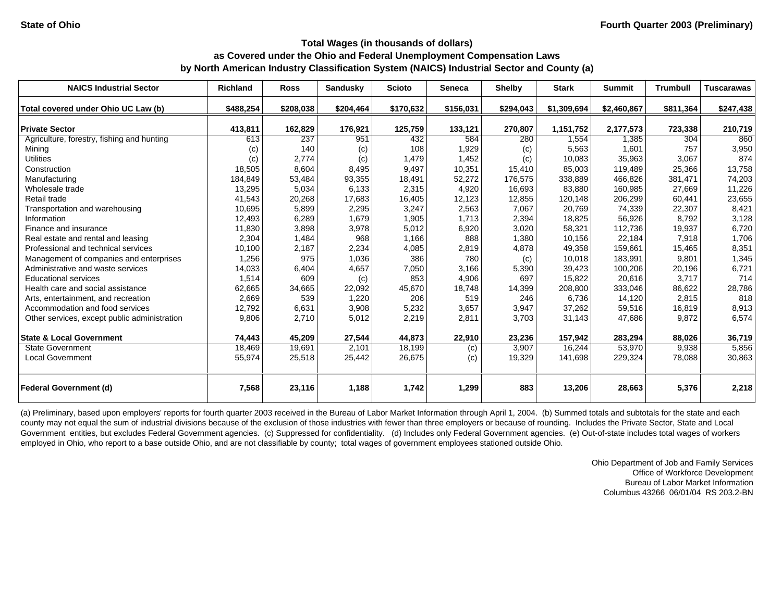| <b>NAICS Industrial Sector</b>               | <b>Richland</b> | <b>Ross</b> | Sandusky  | <b>Scioto</b> | <b>Seneca</b> | <b>Shelby</b> | <b>Stark</b> | <b>Summit</b> | <b>Trumbull</b> | <b>Tuscarawas</b> |
|----------------------------------------------|-----------------|-------------|-----------|---------------|---------------|---------------|--------------|---------------|-----------------|-------------------|
| Total covered under Ohio UC Law (b)          | \$488,254       | \$208,038   | \$204,464 | \$170,632     | \$156,031     | \$294,043     | \$1,309,694  | \$2,460,867   | \$811,364       | \$247,438         |
|                                              |                 |             |           |               |               |               |              |               |                 |                   |
| <b>Private Sector</b>                        | 413,811         | 162,829     | 176,921   | 125,759       | 133,121       | 270,807       | 1,151,752    | 2,177,573     | 723,338         | 210,719           |
| Agriculture, forestry, fishing and hunting   | 613             | 237         | 951       | 432           | 584           | 280           | 1,554        | 1,385         | 304             | 860               |
| Mining                                       | (c)             | 140         | (c)       | 108           | 1,929         | (c)           | 5,563        | 1,601         | 757             | 3,950             |
| <b>Utilities</b>                             | (c)             | 2,774       | (c)       | 1,479         | 1,452         | (c)           | 10,083       | 35,963        | 3,067           | 874               |
| Construction                                 | 18,505          | 8,604       | 8,495     | 9,497         | 10,351        | 15,410        | 85,003       | 119,489       | 25,366          | 13,758            |
| Manufacturing                                | 184,849         | 53,484      | 93,355    | 18,491        | 52,272        | 176,575       | 338,889      | 466,826       | 381,471         | 74,203            |
| Wholesale trade                              | 13,295          | 5,034       | 6,133     | 2,315         | 4,920         | 16,693        | 83,880       | 160,985       | 27,669          | 11,226            |
| Retail trade                                 | 41,543          | 20,268      | 17,683    | 16,405        | 12,123        | 12,855        | 120,148      | 206,299       | 60,441          | 23,655            |
| Transportation and warehousing               | 10,695          | 5,899       | 2,295     | 3,247         | 2,563         | 7,067         | 20,769       | 74,339        | 22,307          | 8,421             |
| Information                                  | 12.493          | 6,289       | 1,679     | 1,905         | 1.713         | 2,394         | 18,825       | 56,926        | 8.792           | 3,128             |
| Finance and insurance                        | 11,830          | 3,898       | 3,978     | 5,012         | 6,920         | 3,020         | 58,321       | 112,736       | 19,937          | 6,720             |
| Real estate and rental and leasing           | 2,304           | 1,484       | 968       | 1,166         | 888           | 1,380         | 10,156       | 22,184        | 7,918           | 1,706             |
| Professional and technical services          | 10,100          | 2,187       | 2,234     | 4,085         | 2,819         | 4,878         | 49,358       | 159,661       | 15,465          | 8,351             |
| Management of companies and enterprises      | 1,256           | 975         | 1,036     | 386           | 780           | (c)           | 10,018       | 183,991       | 9,801           | 1,345             |
| Administrative and waste services            | 14,033          | 6,404       | 4,657     | 7,050         | 3,166         | 5,390         | 39,423       | 100,206       | 20,196          | 6,721             |
| <b>Educational services</b>                  | 1,514           | 609         | (c)       | 853           | 4,906         | 697           | 15,822       | 20,616        | 3,717           | 714               |
| Health care and social assistance            | 62,665          | 34,665      | 22,092    | 45,670        | 18,748        | 14,399        | 208,800      | 333,046       | 86,622          | 28,786            |
| Arts, entertainment, and recreation          | 2,669           | 539         | 1,220     | 206           | 519           | 246           | 6,736        | 14,120        | 2,815           | 818               |
| Accommodation and food services              | 12,792          | 6,631       | 3,908     | 5,232         | 3,657         | 3,947         | 37,262       | 59,516        | 16.819          | 8,913             |
| Other services, except public administration | 9,806           | 2,710       | 5,012     | 2,219         | 2,811         | 3,703         | 31,143       | 47,686        | 9,872           | 6,574             |
| <b>State &amp; Local Government</b>          | 74,443          | 45,209      | 27,544    | 44,873        | 22,910        | 23,236        | 157,942      | 283,294       | 88,026          | 36,719            |
| <b>State Government</b>                      | 18,469          | 19,691      | 2,101     | 18,199        | (c)           | 3,907         | 16,244       | 53,970        | 9,938           | 5,856             |
| <b>Local Government</b>                      | 55,974          | 25,518      | 25,442    | 26,675        | (c)           | 19,329        | 141,698      | 229,324       | 78,088          | 30,863            |
| <b>Federal Government (d)</b>                | 7,568           | 23,116      | 1,188     | 1,742         | 1,299         | 883           | 13,206       | 28,663        | 5,376           | 2,218             |

(a) Preliminary, based upon employers' reports for fourth quarter 2003 received in the Bureau of Labor Market Information through April 1, 2004. (b) Summed totals and subtotals for the state and each county may not equal the sum of industrial divisions because of the exclusion of those industries with fewer than three employers or because of rounding. Includes the Private Sector, State and Local Government entities, but excludes Federal Government agencies. (c) Suppressed for confidentiality. (d) Includes only Federal Government agencies. (e) Out-of-state includes total wages of workers employed in Ohio, who report to a base outside Ohio, and are not classifiable by county; total wages of government employees stationed outside Ohio.